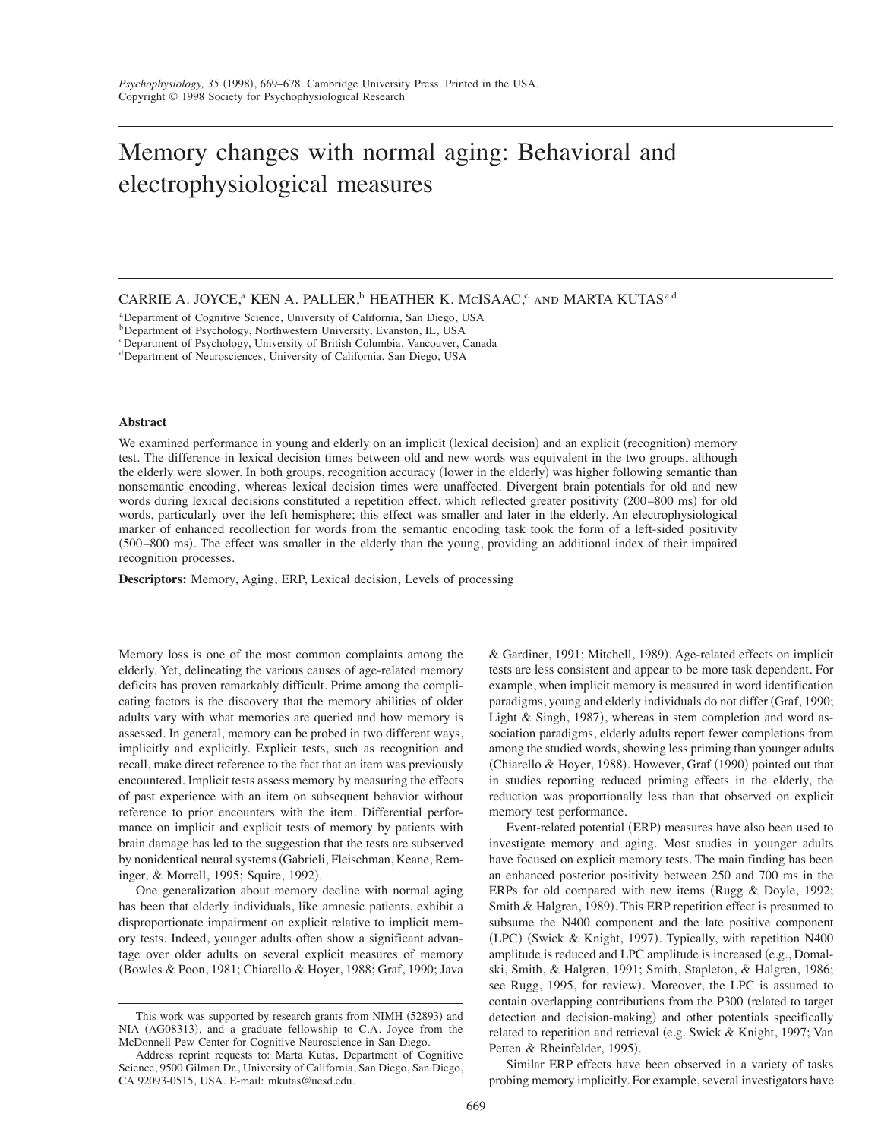# Memory changes with normal aging: Behavioral and electrophysiological measures

CARRIE A. JOYCE,<sup>a</sup> KEN A. PALLER,<sup>b</sup> HEATHER K. McISAAC,<sup>c</sup> and MARTA KUTAS<sup>a,d</sup>

<sup>a</sup>Department of Cognitive Science, University of California, San Diego, USA

**b**Department of Psychology, Northwestern University, Evanston, IL, USA

cDepartment of Psychology, University of British Columbia, Vancouver, Canada

dDepartment of Neurosciences, University of California, San Diego, USA

### **Abstract**

We examined performance in young and elderly on an implicit (lexical decision) and an explicit (recognition) memory test. The difference in lexical decision times between old and new words was equivalent in the two groups, although the elderly were slower. In both groups, recognition accuracy (lower in the elderly) was higher following semantic than nonsemantic encoding, whereas lexical decision times were unaffected. Divergent brain potentials for old and new words during lexical decisions constituted a repetition effect, which reflected greater positivity  $(200-800 \text{ ms})$  for old words, particularly over the left hemisphere; this effect was smaller and later in the elderly. An electrophysiological marker of enhanced recollection for words from the semantic encoding task took the form of a left-sided positivity ~500–800 ms!. The effect was smaller in the elderly than the young, providing an additional index of their impaired recognition processes.

**Descriptors:** Memory, Aging, ERP, Lexical decision, Levels of processing

Memory loss is one of the most common complaints among the elderly. Yet, delineating the various causes of age-related memory deficits has proven remarkably difficult. Prime among the complicating factors is the discovery that the memory abilities of older adults vary with what memories are queried and how memory is assessed. In general, memory can be probed in two different ways, implicitly and explicitly. Explicit tests, such as recognition and recall, make direct reference to the fact that an item was previously encountered. Implicit tests assess memory by measuring the effects of past experience with an item on subsequent behavior without reference to prior encounters with the item. Differential performance on implicit and explicit tests of memory by patients with brain damage has led to the suggestion that the tests are subserved by nonidentical neural systems (Gabrieli, Fleischman, Keane, Reminger, & Morrell, 1995; Squire, 1992).

One generalization about memory decline with normal aging has been that elderly individuals, like amnesic patients, exhibit a disproportionate impairment on explicit relative to implicit memory tests. Indeed, younger adults often show a significant advantage over older adults on several explicit measures of memory (Bowles & Poon, 1981; Chiarello & Hoyer, 1988; Graf, 1990; Java & Gardiner, 1991; Mitchell, 1989). Age-related effects on implicit tests are less consistent and appear to be more task dependent. For example, when implicit memory is measured in word identification paradigms, young and elderly individuals do not differ (Graf, 1990; Light  $&$  Singh, 1987), whereas in stem completion and word association paradigms, elderly adults report fewer completions from among the studied words, showing less priming than younger adults (Chiarello & Hoyer, 1988). However, Graf  $(1990)$  pointed out that in studies reporting reduced priming effects in the elderly, the reduction was proportionally less than that observed on explicit memory test performance.

Event-related potential (ERP) measures have also been used to investigate memory and aging. Most studies in younger adults have focused on explicit memory tests. The main finding has been an enhanced posterior positivity between 250 and 700 ms in the ERPs for old compared with new items (Rugg  $&$  Doyle, 1992; Smith & Halgren, 1989). This ERP repetition effect is presumed to subsume the N400 component and the late positive component (LPC) (Swick & Knight, 1997). Typically, with repetition  $N400$ amplitude is reduced and LPC amplitude is increased  $(e.g.,$  Domalski, Smith, & Halgren, 1991; Smith, Stapleton, & Halgren, 1986; see Rugg, 1995, for review). Moreover, the LPC is assumed to contain overlapping contributions from the P300 (related to target detection and decision-making) and other potentials specifically related to repetition and retrieval (e.g. Swick  $&$  Knight, 1997; Van Petten & Rheinfelder, 1995).

Similar ERP effects have been observed in a variety of tasks probing memory implicitly. For example, several investigators have

This work was supported by research grants from NIMH (52893) and NIA (AG08313), and a graduate fellowship to C.A. Joyce from the McDonnell-Pew Center for Cognitive Neuroscience in San Diego.

Address reprint requests to: Marta Kutas, Department of Cognitive Science, 9500 Gilman Dr., University of California, San Diego, San Diego, CA 92093-0515, USA. E-mail: mkutas@ucsd.edu.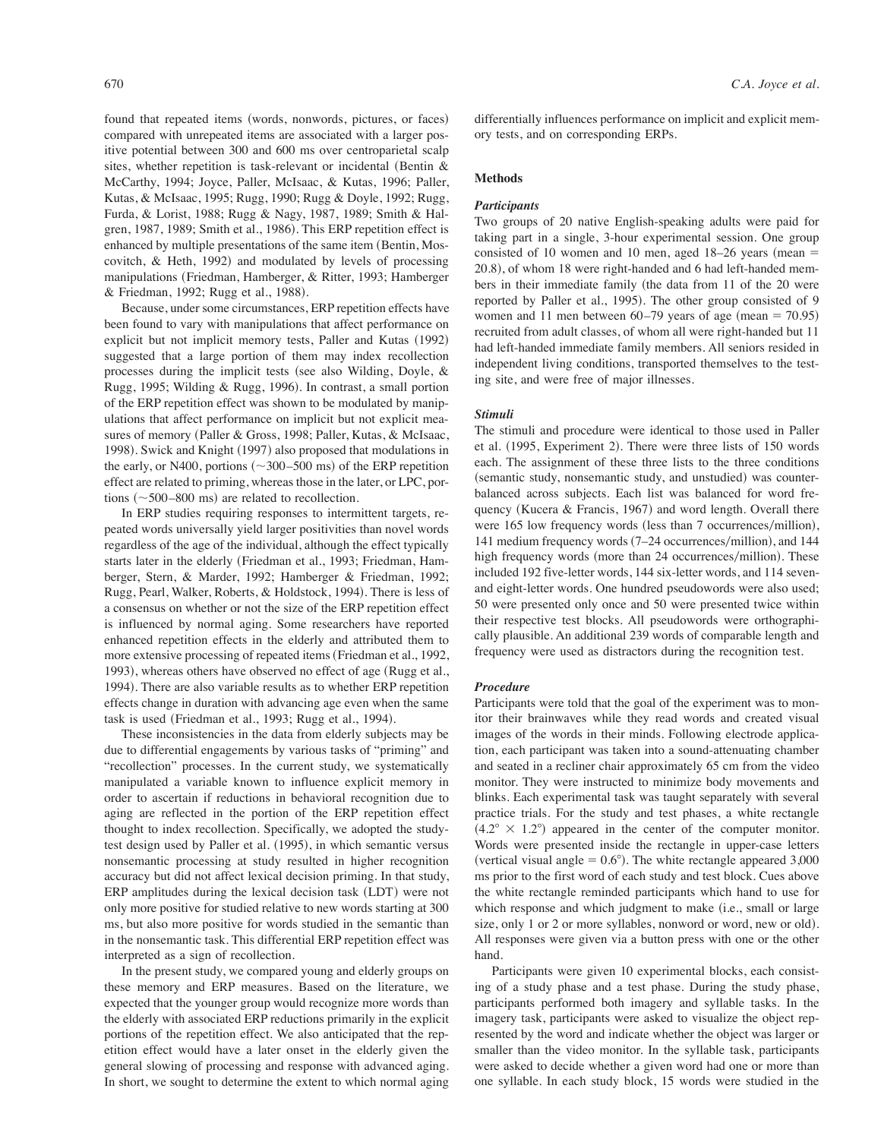found that repeated items (words, nonwords, pictures, or faces) compared with unrepeated items are associated with a larger positive potential between 300 and 600 ms over centroparietal scalp sites, whether repetition is task-relevant or incidental (Bentin  $&$ McCarthy, 1994; Joyce, Paller, McIsaac, & Kutas, 1996; Paller, Kutas, & McIsaac, 1995; Rugg, 1990; Rugg & Doyle, 1992; Rugg, Furda, & Lorist, 1988; Rugg & Nagy, 1987, 1989; Smith & Halgren, 1987, 1989; Smith et al., 1986). This ERP repetition effect is enhanced by multiple presentations of the same item (Bentin, Moscovitch,  $& Heth, 1992$ ) and modulated by levels of processing manipulations (Friedman, Hamberger, & Ritter, 1993; Hamberger & Friedman, 1992; Rugg et al., 1988).

Because, under some circumstances, ERP repetition effects have been found to vary with manipulations that affect performance on explicit but not implicit memory tests, Paller and Kutas (1992) suggested that a large portion of them may index recollection processes during the implicit tests (see also Wilding, Doyle,  $\&$ Rugg, 1995; Wilding & Rugg, 1996). In contrast, a small portion of the ERP repetition effect was shown to be modulated by manipulations that affect performance on implicit but not explicit measures of memory (Paller & Gross, 1998; Paller, Kutas, & McIsaac, 1998). Swick and Knight (1997) also proposed that modulations in the early, or N400, portions  $(\sim 300 - 500 \text{ ms})$  of the ERP repetition effect are related to priming, whereas those in the later, or LPC, portions  $(\sim 500-800 \text{ ms})$  are related to recollection.

In ERP studies requiring responses to intermittent targets, repeated words universally yield larger positivities than novel words regardless of the age of the individual, although the effect typically starts later in the elderly (Friedman et al., 1993; Friedman, Hamberger, Stern, & Marder, 1992; Hamberger & Friedman, 1992; Rugg, Pearl, Walker, Roberts, & Holdstock, 1994). There is less of a consensus on whether or not the size of the ERP repetition effect is influenced by normal aging. Some researchers have reported enhanced repetition effects in the elderly and attributed them to more extensive processing of repeated items (Friedman et al., 1992, 1993), whereas others have observed no effect of age (Rugg et al., 1994). There are also variable results as to whether ERP repetition effects change in duration with advancing age even when the same task is used (Friedman et al., 1993; Rugg et al., 1994).

These inconsistencies in the data from elderly subjects may be due to differential engagements by various tasks of "priming" and "recollection" processes. In the current study, we systematically manipulated a variable known to influence explicit memory in order to ascertain if reductions in behavioral recognition due to aging are reflected in the portion of the ERP repetition effect thought to index recollection. Specifically, we adopted the studytest design used by Paller et al. (1995), in which semantic versus nonsemantic processing at study resulted in higher recognition accuracy but did not affect lexical decision priming. In that study, ERP amplitudes during the lexical decision task (LDT) were not only more positive for studied relative to new words starting at 300 ms, but also more positive for words studied in the semantic than in the nonsemantic task. This differential ERP repetition effect was interpreted as a sign of recollection.

In the present study, we compared young and elderly groups on these memory and ERP measures. Based on the literature, we expected that the younger group would recognize more words than the elderly with associated ERP reductions primarily in the explicit portions of the repetition effect. We also anticipated that the repetition effect would have a later onset in the elderly given the general slowing of processing and response with advanced aging. In short, we sought to determine the extent to which normal aging

differentially influences performance on implicit and explicit memory tests, and on corresponding ERPs.

## **Methods**

## *Participants*

Two groups of 20 native English-speaking adults were paid for taking part in a single, 3-hour experimental session. One group consisted of 10 women and 10 men, aged  $18-26$  years (mean  $=$ 20.8), of whom 18 were right-handed and 6 had left-handed members in their immediate family (the data from 11 of the 20 were reported by Paller et al., 1995). The other group consisted of 9 women and 11 men between  $60-79$  years of age (mean  $= 70.95$ ) recruited from adult classes, of whom all were right-handed but 11 had left-handed immediate family members. All seniors resided in independent living conditions, transported themselves to the testing site, and were free of major illnesses.

## *Stimuli*

The stimuli and procedure were identical to those used in Paller et al.  $(1995,$  Experiment 2). There were three lists of 150 words each. The assignment of these three lists to the three conditions (semantic study, nonsemantic study, and unstudied) was counterbalanced across subjects. Each list was balanced for word frequency (Kucera  $&$  Francis, 1967) and word length. Overall there were 165 low frequency words (less than 7 occurrences/million), 141 medium frequency words  $(7–24$  occurrences/million), and 144 high frequency words (more than 24 occurrences/million). These included 192 five-letter words, 144 six-letter words, and 114 sevenand eight-letter words. One hundred pseudowords were also used; 50 were presented only once and 50 were presented twice within their respective test blocks. All pseudowords were orthographically plausible. An additional 239 words of comparable length and frequency were used as distractors during the recognition test.

## *Procedure*

Participants were told that the goal of the experiment was to monitor their brainwaves while they read words and created visual images of the words in their minds. Following electrode application, each participant was taken into a sound-attenuating chamber and seated in a recliner chair approximately 65 cm from the video monitor. They were instructed to minimize body movements and blinks. Each experimental task was taught separately with several practice trials. For the study and test phases, a white rectangle  $(4.2^{\circ} \times 1.2^{\circ})$  appeared in the center of the computer monitor. Words were presented inside the rectangle in upper-case letters (vertical visual angle  $= 0.6^{\circ}$ ). The white rectangle appeared 3,000 ms prior to the first word of each study and test block. Cues above the white rectangle reminded participants which hand to use for which response and which judgment to make (i.e., small or large size, only 1 or 2 or more syllables, nonword or word, new or old). All responses were given via a button press with one or the other hand.

Participants were given 10 experimental blocks, each consisting of a study phase and a test phase. During the study phase, participants performed both imagery and syllable tasks. In the imagery task, participants were asked to visualize the object represented by the word and indicate whether the object was larger or smaller than the video monitor. In the syllable task, participants were asked to decide whether a given word had one or more than one syllable. In each study block, 15 words were studied in the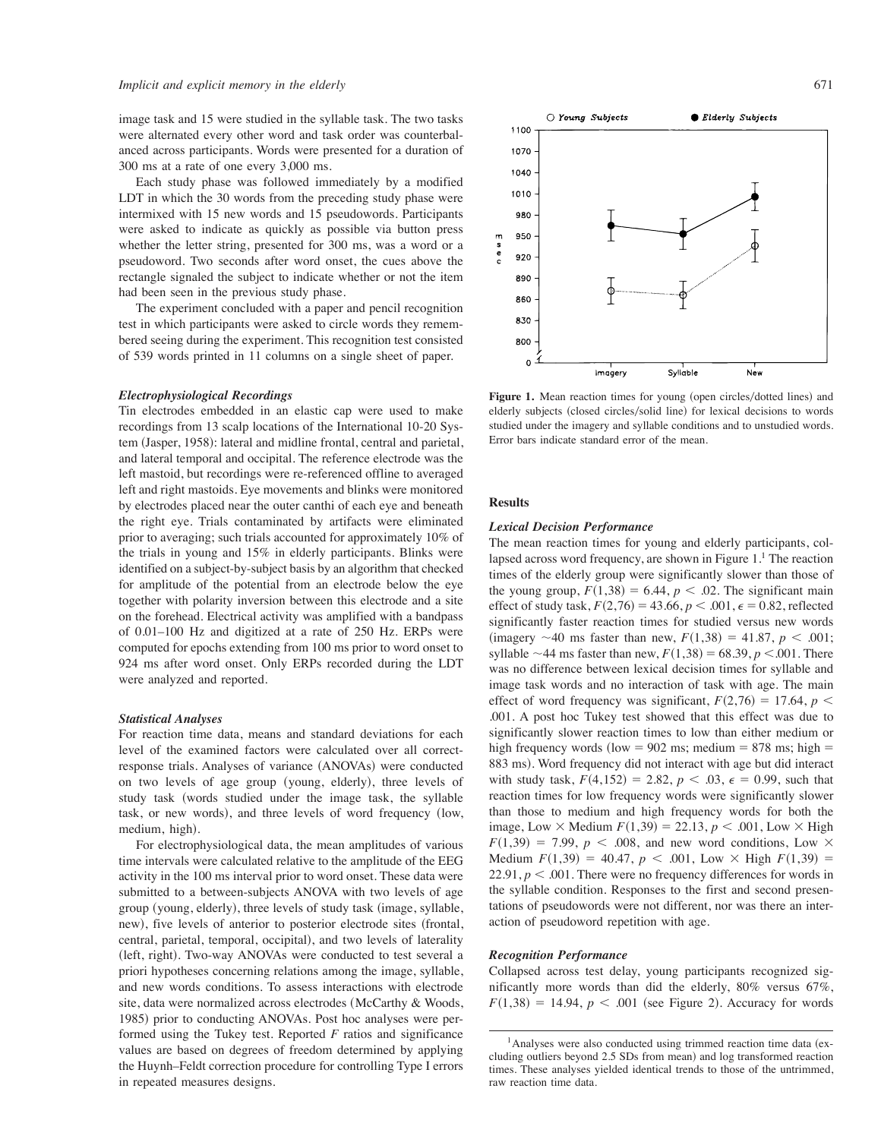image task and 15 were studied in the syllable task. The two tasks were alternated every other word and task order was counterbalanced across participants. Words were presented for a duration of 300 ms at a rate of one every 3,000 ms.

Each study phase was followed immediately by a modified LDT in which the 30 words from the preceding study phase were intermixed with 15 new words and 15 pseudowords. Participants were asked to indicate as quickly as possible via button press whether the letter string, presented for 300 ms, was a word or a pseudoword. Two seconds after word onset, the cues above the rectangle signaled the subject to indicate whether or not the item had been seen in the previous study phase.

The experiment concluded with a paper and pencil recognition test in which participants were asked to circle words they remembered seeing during the experiment. This recognition test consisted of 539 words printed in 11 columns on a single sheet of paper.

## *Electrophysiological Recordings*

Tin electrodes embedded in an elastic cap were used to make recordings from 13 scalp locations of the International 10-20 System (Jasper, 1958): lateral and midline frontal, central and parietal, and lateral temporal and occipital. The reference electrode was the left mastoid, but recordings were re-referenced offline to averaged left and right mastoids. Eye movements and blinks were monitored by electrodes placed near the outer canthi of each eye and beneath the right eye. Trials contaminated by artifacts were eliminated prior to averaging; such trials accounted for approximately 10% of the trials in young and 15% in elderly participants. Blinks were identified on a subject-by-subject basis by an algorithm that checked for amplitude of the potential from an electrode below the eye together with polarity inversion between this electrode and a site on the forehead. Electrical activity was amplified with a bandpass of 0.01–100 Hz and digitized at a rate of 250 Hz. ERPs were computed for epochs extending from 100 ms prior to word onset to 924 ms after word onset. Only ERPs recorded during the LDT were analyzed and reported.

### *Statistical Analyses*

For reaction time data, means and standard deviations for each level of the examined factors were calculated over all correctresponse trials. Analyses of variance (ANOVAs) were conducted on two levels of age group (young, elderly), three levels of study task (words studied under the image task, the syllable task, or new words), and three levels of word frequency (low, medium, high).

For electrophysiological data, the mean amplitudes of various time intervals were calculated relative to the amplitude of the EEG activity in the 100 ms interval prior to word onset. These data were submitted to a between-subjects ANOVA with two levels of age group (young, elderly), three levels of study task (image, syllable, new), five levels of anterior to posterior electrode sites (frontal, central, parietal, temporal, occipital), and two levels of laterality (left, right). Two-way ANOVAs were conducted to test several a priori hypotheses concerning relations among the image, syllable, and new words conditions. To assess interactions with electrode site, data were normalized across electrodes (McCarthy & Woods, 1985) prior to conducting ANOVAs. Post hoc analyses were performed using the Tukey test. Reported *F* ratios and significance values are based on degrees of freedom determined by applying the Huynh–Feldt correction procedure for controlling Type I errors in repeated measures designs.



Figure 1. Mean reaction times for young (open circles/dotted lines) and elderly subjects (closed circles/solid line) for lexical decisions to words studied under the imagery and syllable conditions and to unstudied words. Error bars indicate standard error of the mean.

## **Results**

## *Lexical Decision Performance*

The mean reaction times for young and elderly participants, collapsed across word frequency, are shown in Figure  $1<sup>1</sup>$ . The reaction times of the elderly group were significantly slower than those of the young group,  $F(1,38) = 6.44$ ,  $p < .02$ . The significant main effect of study task,  $F(2,76) = 43.66$ ,  $p < .001$ ,  $\epsilon = 0.82$ , reflected significantly faster reaction times for studied versus new words  $\text{(imagery } \sim 40 \text{ ms faster than new, } F(1,38) = 41.87, p < .001;$ syllable  $\sim$  44 ms faster than new,  $F(1,38) = 68.39, p < .001$ . There was no difference between lexical decision times for syllable and image task words and no interaction of task with age. The main effect of word frequency was significant,  $F(2,76) = 17.64$ ,  $p <$ .001. A post hoc Tukey test showed that this effect was due to significantly slower reaction times to low than either medium or high frequency words (low  $= 902$  ms; medium  $= 878$  ms; high  $=$ 883 ms). Word frequency did not interact with age but did interact with study task,  $F(4,152) = 2.82, p < .03, \epsilon = 0.99$ , such that reaction times for low frequency words were significantly slower than those to medium and high frequency words for both the image, Low  $\times$  Medium  $F(1,39) = 22.13$ ,  $p < .001$ , Low  $\times$  High  $F(1,39) = 7.99$ ,  $p < .008$ , and new word conditions, Low  $\times$ Medium  $F(1,39) = 40.47$ ,  $p < .001$ , Low  $\times$  High  $F(1,39) =$  $22.91, p < .001$ . There were no frequency differences for words in the syllable condition. Responses to the first and second presentations of pseudowords were not different, nor was there an interaction of pseudoword repetition with age.

## *Recognition Performance*

Collapsed across test delay, young participants recognized significantly more words than did the elderly, 80% versus 67%,  $F(1,38) = 14.94, p < .001$  (see Figure 2). Accuracy for words

 $1$ Analyses were also conducted using trimmed reaction time data (excluding outliers beyond 2.5 SDs from mean) and log transformed reaction times. These analyses yielded identical trends to those of the untrimmed, raw reaction time data.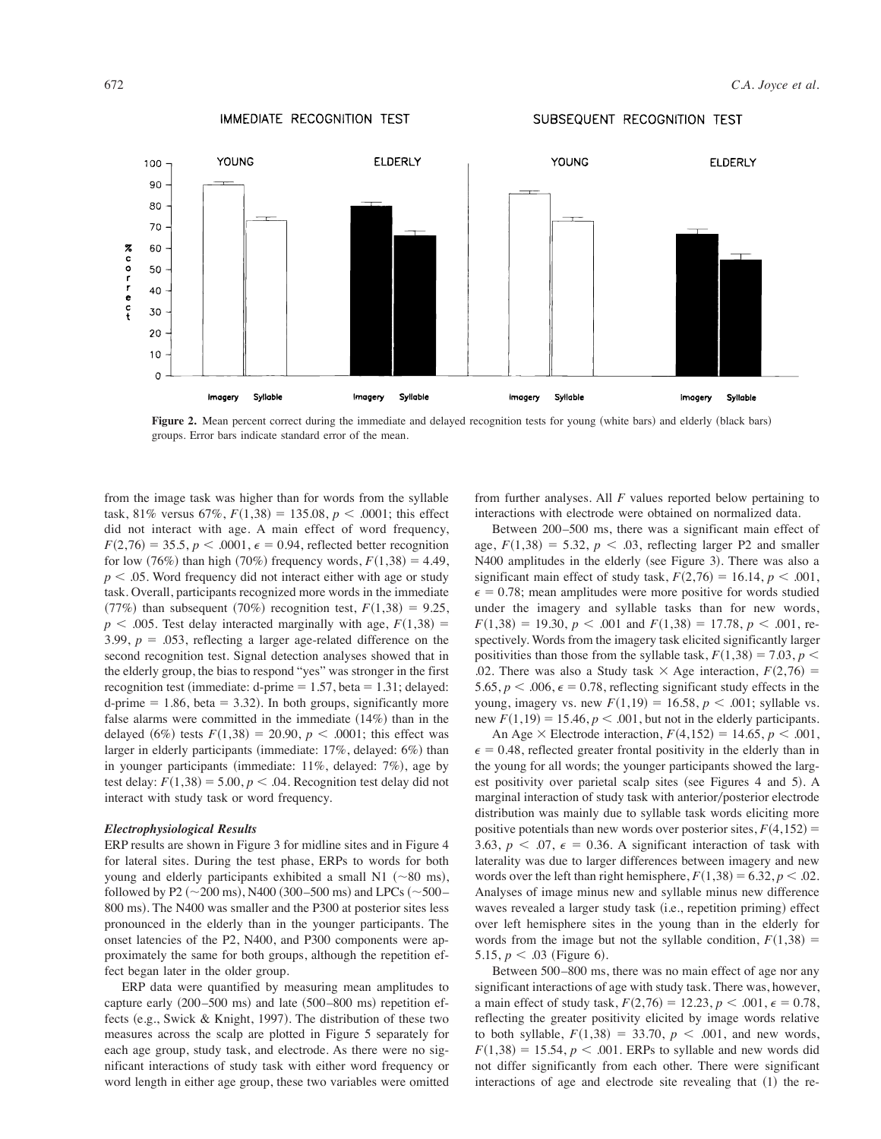## IMMEDIATE RECOGNITION TEST





Figure 2. Mean percent correct during the immediate and delayed recognition tests for young (white bars) and elderly (black bars) groups. Error bars indicate standard error of the mean.

from the image task was higher than for words from the syllable task, 81% versus 67%,  $F(1,38) = 135.08$ ,  $p < .0001$ ; this effect did not interact with age. A main effect of word frequency,  $F(2,76) = 35.5, p < .0001, \epsilon = 0.94$ , reflected better recognition for low  $(76%)$  than high  $(70%)$  frequency words,  $F(1,38) = 4.49$ ,  $p < .05$ . Word frequency did not interact either with age or study task. Overall, participants recognized more words in the immediate  $(77%)$  than subsequent  $(70%)$  recognition test,  $F(1,38) = 9.25$ ,  $p$  < .005. Test delay interacted marginally with age,  $F(1,38)$  = 3.99,  $p = .053$ , reflecting a larger age-related difference on the second recognition test. Signal detection analyses showed that in the elderly group, the bias to respond "yes" was stronger in the first recognition test (immediate: d-prime  $= 1.57$ , beta  $= 1.31$ ; delayed: d-prime  $= 1.86$ , beta  $= 3.32$ ). In both groups, significantly more false alarms were committed in the immediate  $(14%)$  than in the delayed  $(6\%)$  tests  $F(1,38) = 20.90, p < .0001$ ; this effect was larger in elderly participants (immediate:  $17\%$ , delayed: 6%) than in younger participants (immediate:  $11\%$ , delayed: 7%), age by test delay:  $F(1,38) = 5.00, p < .04$ . Recognition test delay did not interact with study task or word frequency.

## *Electrophysiological Results*

ERP results are shown in Figure 3 for midline sites and in Figure 4 for lateral sites. During the test phase, ERPs to words for both young and elderly participants exhibited a small N1  $({\sim}80 \text{ ms})$ , followed by P2 ( $\sim$ 200 ms), N400 (300–500 ms) and LPCs ( $\sim$ 500– 800 ms). The N400 was smaller and the P300 at posterior sites less pronounced in the elderly than in the younger participants. The onset latencies of the P2, N400, and P300 components were approximately the same for both groups, although the repetition effect began later in the older group.

ERP data were quantified by measuring mean amplitudes to capture early  $(200–500 \text{ ms})$  and late  $(500–800 \text{ ms})$  repetition effects (e.g., Swick & Knight, 1997). The distribution of these two measures across the scalp are plotted in Figure 5 separately for each age group, study task, and electrode. As there were no significant interactions of study task with either word frequency or word length in either age group, these two variables were omitted

from further analyses. All *F* values reported below pertaining to interactions with electrode were obtained on normalized data.

Between 200–500 ms, there was a significant main effect of age,  $F(1,38) = 5.32$ ,  $p < .03$ , reflecting larger P2 and smaller N400 amplitudes in the elderly (see Figure 3). There was also a significant main effect of study task,  $F(2,76) = 16.14$ ,  $p < .001$ ,  $\epsilon$  = 0.78; mean amplitudes were more positive for words studied under the imagery and syllable tasks than for new words,  $F(1,38) = 19.30, p < .001$  and  $F(1,38) = 17.78, p < .001$ , respectively. Words from the imagery task elicited significantly larger positivities than those from the syllable task,  $F(1,38) = 7.03$ ,  $p <$ .02. There was also a Study task  $\times$  Age interaction,  $F(2,76)$  = 5.65,  $p < .006$ ,  $\epsilon = 0.78$ , reflecting significant study effects in the young, imagery vs. new  $F(1,19) = 16.58, p < .001$ ; syllable vs. new  $F(1,19) = 15.46$ ,  $p < .001$ , but not in the elderly participants.

An Age  $\times$  Electrode interaction,  $F(4,152) = 14.65$ ,  $p < .001$ ,  $\epsilon$  = 0.48, reflected greater frontal positivity in the elderly than in the young for all words; the younger participants showed the largest positivity over parietal scalp sites (see Figures 4 and 5). A marginal interaction of study task with anterior/posterior electrode distribution was mainly due to syllable task words eliciting more positive potentials than new words over posterior sites,  $F(4,152) =$ 3.63,  $p < .07$ ,  $\epsilon = 0.36$ . A significant interaction of task with laterality was due to larger differences between imagery and new words over the left than right hemisphere,  $F(1,38) = 6.32$ ,  $p < .02$ . Analyses of image minus new and syllable minus new difference waves revealed a larger study task (i.e., repetition priming) effect over left hemisphere sites in the young than in the elderly for words from the image but not the syllable condition,  $F(1,38) =$ 5.15,  $p < .03$  (Figure 6).

Between 500–800 ms, there was no main effect of age nor any significant interactions of age with study task. There was, however, a main effect of study task,  $F(2,76) = 12.23$ ,  $p < .001$ ,  $\epsilon = 0.78$ , reflecting the greater positivity elicited by image words relative to both syllable,  $F(1,38) = 33.70, p < .001$ , and new words,  $F(1,38) = 15.54, p < .001$ . ERPs to syllable and new words did not differ significantly from each other. There were significant interactions of age and electrode site revealing that  $(1)$  the re-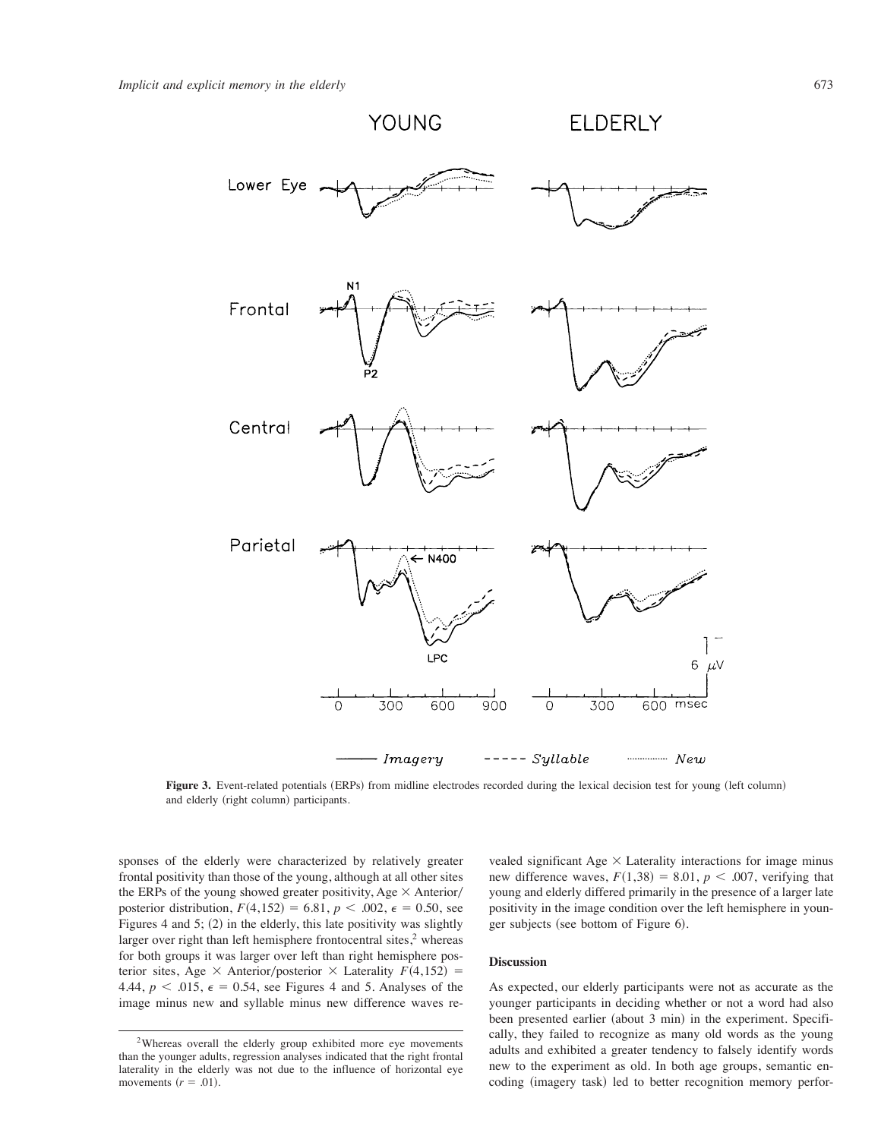

**Figure 3.** Event-related potentials (ERPs) from midline electrodes recorded during the lexical decision test for young (left column) and elderly (right column) participants.

sponses of the elderly were characterized by relatively greater frontal positivity than those of the young, although at all other sites the ERPs of the young showed greater positivity, Age  $\times$  Anterior/ posterior distribution,  $F(4,152) = 6.81, p < .002, \epsilon = 0.50$ , see Figures 4 and 5;  $(2)$  in the elderly, this late positivity was slightly larger over right than left hemisphere frontocentral sites, $2$  whereas for both groups it was larger over left than right hemisphere posterior sites, Age  $\times$  Anterior/posterior  $\times$  Laterality  $F(4,152)$  = 4.44,  $p < .015$ ,  $\epsilon = 0.54$ , see Figures 4 and 5. Analyses of the image minus new and syllable minus new difference waves re-

vealed significant Age  $\times$  Laterality interactions for image minus new difference waves,  $F(1,38) = 8.01$ ,  $p < .007$ , verifying that young and elderly differed primarily in the presence of a larger late positivity in the image condition over the left hemisphere in younger subjects (see bottom of Figure 6).

## **Discussion**

As expected, our elderly participants were not as accurate as the younger participants in deciding whether or not a word had also been presented earlier (about 3 min) in the experiment. Specifically, they failed to recognize as many old words as the young adults and exhibited a greater tendency to falsely identify words new to the experiment as old. In both age groups, semantic encoding (imagery task) led to better recognition memory perfor-

<sup>2</sup>Whereas overall the elderly group exhibited more eye movements than the younger adults, regression analyses indicated that the right frontal laterality in the elderly was not due to the influence of horizontal eye movements  $(r = .01)$ .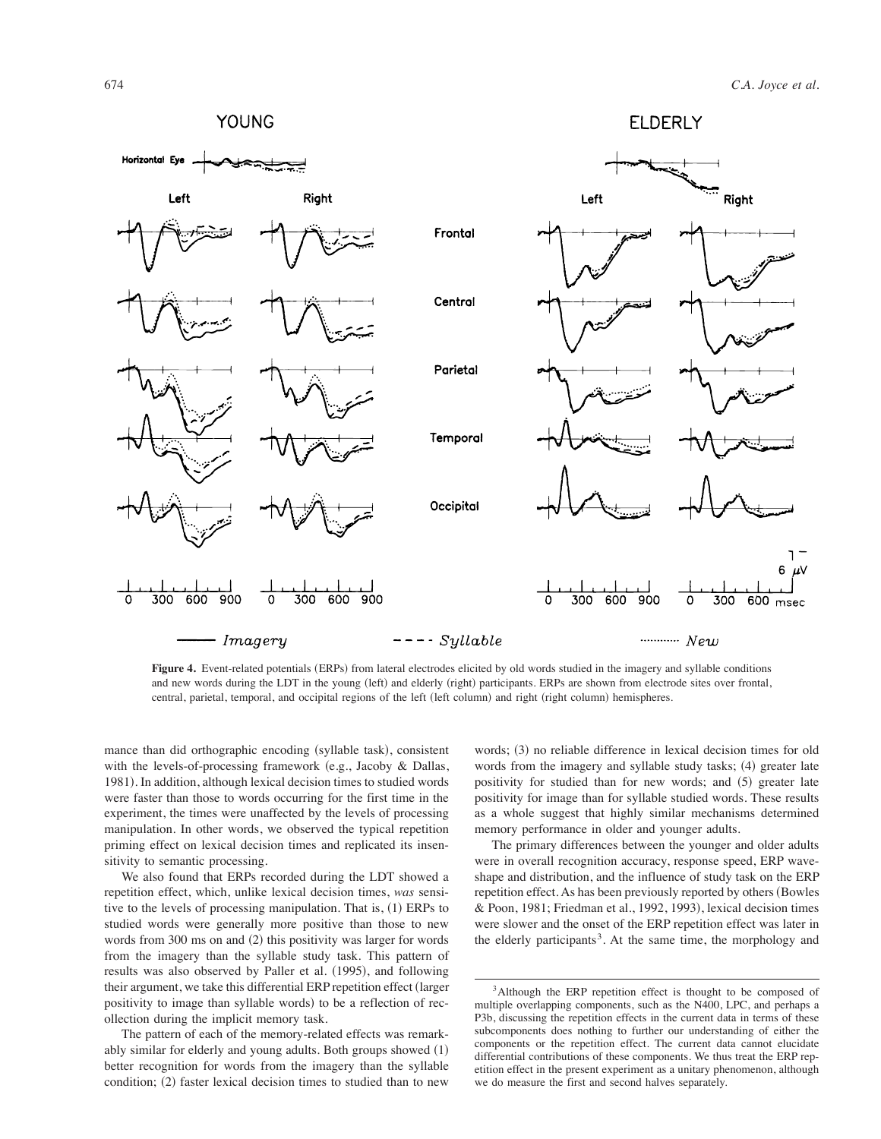

Figure 4. Event-related potentials (ERPs) from lateral electrodes elicited by old words studied in the imagery and syllable conditions and new words during the LDT in the young (left) and elderly (right) participants. ERPs are shown from electrode sites over frontal, central, parietal, temporal, and occipital regions of the left (left column) and right (right column) hemispheres.

mance than did orthographic encoding (syllable task), consistent with the levels-of-processing framework  $(e.g., Jacoby \& Dallas,$ 1981). In addition, although lexical decision times to studied words were faster than those to words occurring for the first time in the experiment, the times were unaffected by the levels of processing manipulation. In other words, we observed the typical repetition priming effect on lexical decision times and replicated its insensitivity to semantic processing.

We also found that ERPs recorded during the LDT showed a repetition effect, which, unlike lexical decision times, *was* sensitive to the levels of processing manipulation. That is,  $(1)$  ERPs to studied words were generally more positive than those to new words from 300 ms on and (2) this positivity was larger for words from the imagery than the syllable study task. This pattern of results was also observed by Paller et al. (1995), and following their argument, we take this differential ERP repetition effect (larger positivity to image than syllable words) to be a reflection of recollection during the implicit memory task.

The pattern of each of the memory-related effects was remarkably similar for elderly and young adults. Both groups showed  $(1)$ better recognition for words from the imagery than the syllable condition;  $(2)$  faster lexical decision times to studied than to new

words;  $(3)$  no reliable difference in lexical decision times for old words from the imagery and syllable study tasks; (4) greater late positivity for studied than for new words; and (5) greater late positivity for image than for syllable studied words. These results as a whole suggest that highly similar mechanisms determined memory performance in older and younger adults.

The primary differences between the younger and older adults were in overall recognition accuracy, response speed, ERP waveshape and distribution, and the influence of study task on the ERP repetition effect. As has been previously reported by others (Bowles & Poon, 1981; Friedman et al., 1992, 1993), lexical decision times were slower and the onset of the ERP repetition effect was later in the elderly participants<sup>3</sup>. At the same time, the morphology and

<sup>&</sup>lt;sup>3</sup>Although the ERP repetition effect is thought to be composed of multiple overlapping components, such as the N400, LPC, and perhaps a P3b, discussing the repetition effects in the current data in terms of these subcomponents does nothing to further our understanding of either the components or the repetition effect. The current data cannot elucidate differential contributions of these components. We thus treat the ERP repetition effect in the present experiment as a unitary phenomenon, although we do measure the first and second halves separately.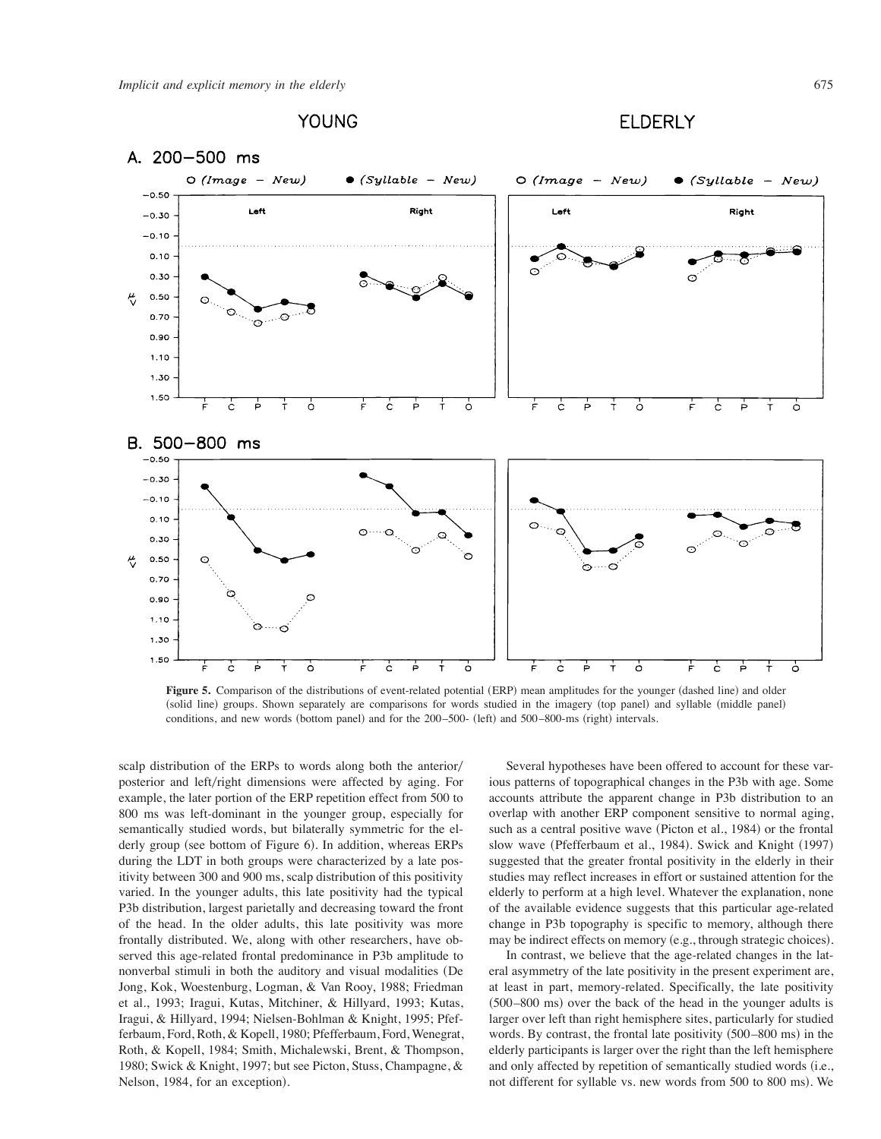

**Figure 5.** Comparison of the distributions of event-related potential (ERP) mean amplitudes for the younger (dashed line) and older (solid line) groups. Shown separately are comparisons for words studied in the imagery (top panel) and syllable (middle panel) conditions, and new words (bottom panel) and for the 200–500- (left) and 500–800-ms (right) intervals.

scalp distribution of the ERPs to words along both the anterior/ posterior and left/right dimensions were affected by aging. For example, the later portion of the ERP repetition effect from 500 to 800 ms was left-dominant in the younger group, especially for semantically studied words, but bilaterally symmetric for the elderly group (see bottom of Figure 6). In addition, whereas ERPs during the LDT in both groups were characterized by a late positivity between 300 and 900 ms, scalp distribution of this positivity varied. In the younger adults, this late positivity had the typical P3b distribution, largest parietally and decreasing toward the front of the head. In the older adults, this late positivity was more frontally distributed. We, along with other researchers, have observed this age-related frontal predominance in P3b amplitude to nonverbal stimuli in both the auditory and visual modalities (De Jong, Kok, Woestenburg, Logman, & Van Rooy, 1988; Friedman et al., 1993; Iragui, Kutas, Mitchiner, & Hillyard, 1993; Kutas, Iragui, & Hillyard, 1994; Nielsen-Bohlman & Knight, 1995; Pfefferbaum, Ford, Roth, & Kopell, 1980; Pfefferbaum, Ford, Wenegrat, Roth, & Kopell, 1984; Smith, Michalewski, Brent, & Thompson, 1980; Swick & Knight, 1997; but see Picton, Stuss, Champagne, & Nelson, 1984, for an exception).

Several hypotheses have been offered to account for these various patterns of topographical changes in the P3b with age. Some accounts attribute the apparent change in P3b distribution to an overlap with another ERP component sensitive to normal aging, such as a central positive wave (Picton et al., 1984) or the frontal slow wave (Pfefferbaum et al., 1984). Swick and Knight (1997) suggested that the greater frontal positivity in the elderly in their studies may reflect increases in effort or sustained attention for the elderly to perform at a high level. Whatever the explanation, none of the available evidence suggests that this particular age-related change in P3b topography is specific to memory, although there may be indirect effects on memory (e.g., through strategic choices).

In contrast, we believe that the age-related changes in the lateral asymmetry of the late positivity in the present experiment are, at least in part, memory-related. Specifically, the late positivity  $(500-800 \text{ ms})$  over the back of the head in the younger adults is larger over left than right hemisphere sites, particularly for studied words. By contrast, the frontal late positivity  $(500-800 \text{ ms})$  in the elderly participants is larger over the right than the left hemisphere and only affected by repetition of semantically studied words (i.e., not different for syllable vs. new words from 500 to 800 ms). We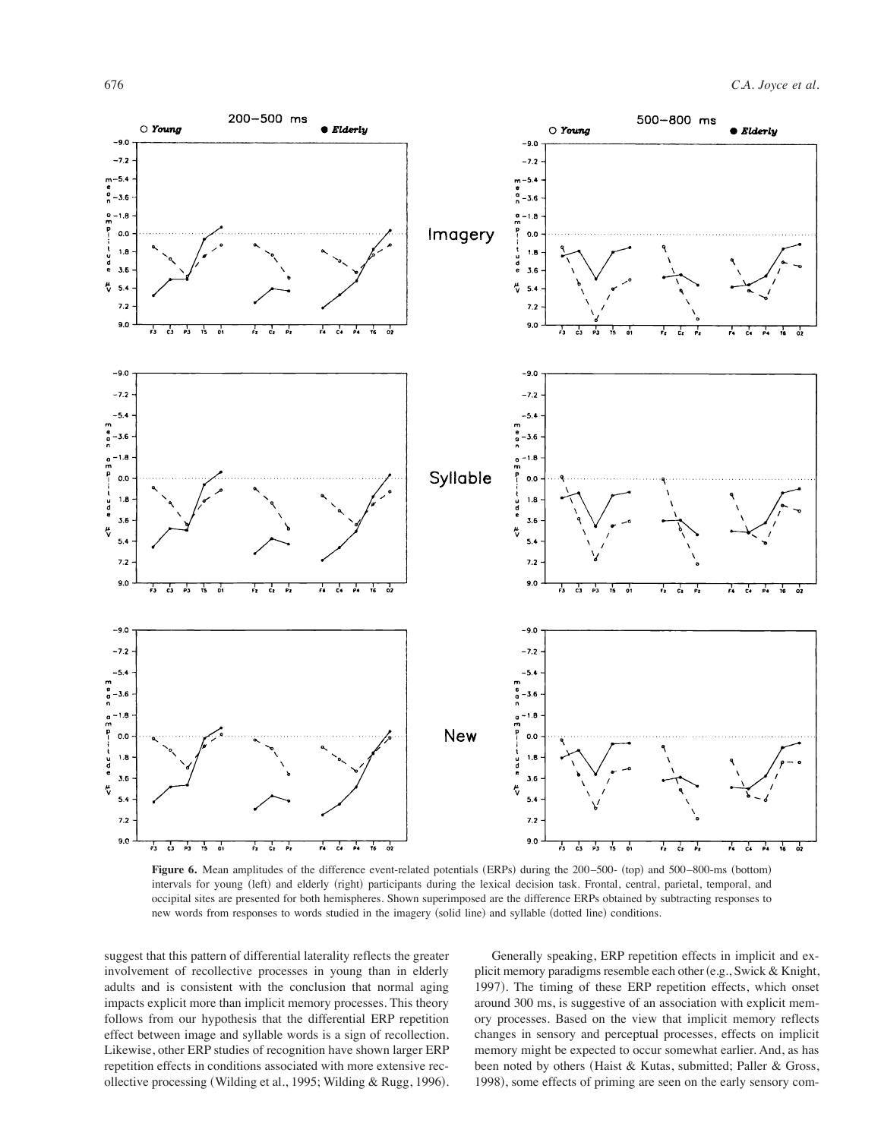

**Figure 6.** Mean amplitudes of the difference event-related potentials (ERPs) during the 200–500- (top) and 500–800-ms (bottom) intervals for young (left) and elderly (right) participants during the lexical decision task. Frontal, central, parietal, temporal, and occipital sites are presented for both hemispheres. Shown superimposed are the difference ERPs obtained by subtracting responses to new words from responses to words studied in the imagery (solid line) and syllable (dotted line) conditions.

suggest that this pattern of differential laterality reflects the greater involvement of recollective processes in young than in elderly adults and is consistent with the conclusion that normal aging impacts explicit more than implicit memory processes. This theory follows from our hypothesis that the differential ERP repetition effect between image and syllable words is a sign of recollection. Likewise, other ERP studies of recognition have shown larger ERP repetition effects in conditions associated with more extensive recollective processing (Wilding et al., 1995; Wilding & Rugg, 1996).

Generally speaking, ERP repetition effects in implicit and explicit memory paradigms resemble each other (e.g., Swick & Knight, 1997). The timing of these ERP repetition effects, which onset around 300 ms, is suggestive of an association with explicit memory processes. Based on the view that implicit memory reflects changes in sensory and perceptual processes, effects on implicit memory might be expected to occur somewhat earlier. And, as has been noted by others (Haist & Kutas, submitted; Paller & Gross, 1998), some effects of priming are seen on the early sensory com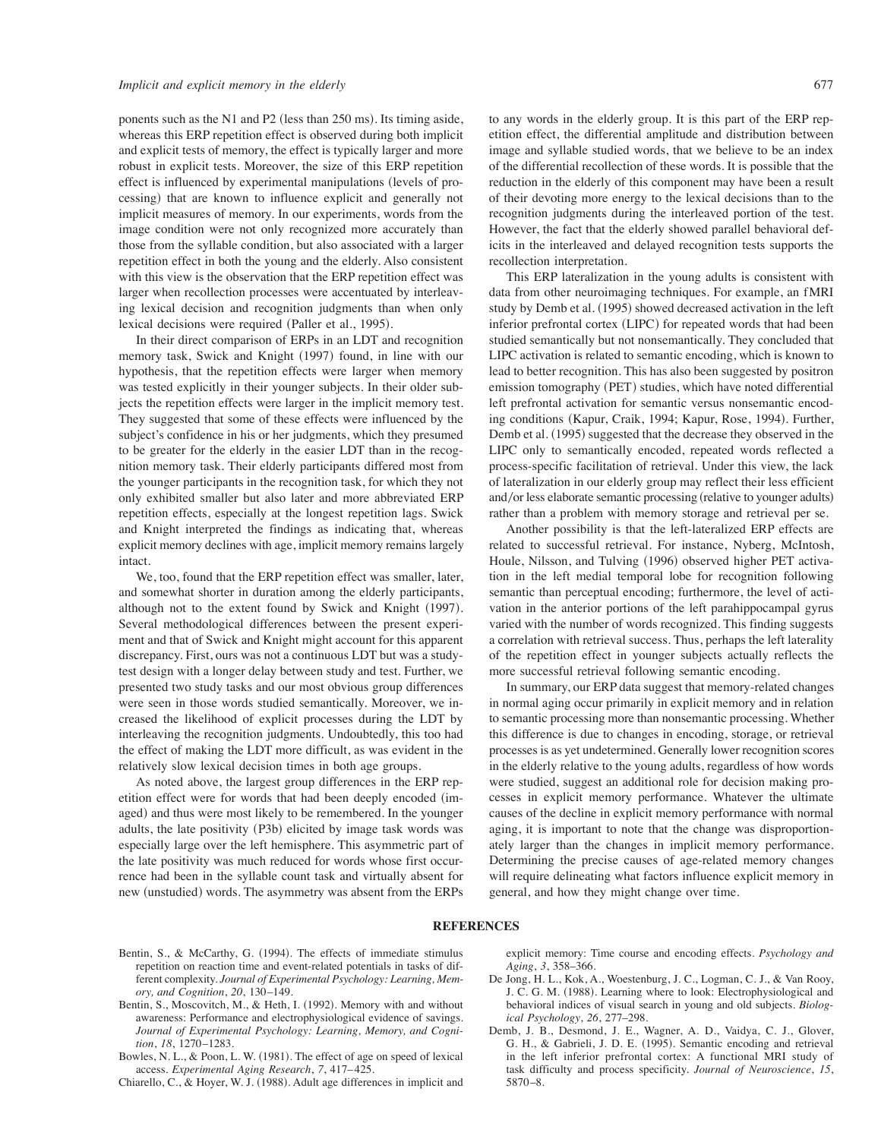ponents such as the N1 and P2 (less than 250 ms). Its timing aside, whereas this ERP repetition effect is observed during both implicit and explicit tests of memory, the effect is typically larger and more robust in explicit tests. Moreover, the size of this ERP repetition effect is influenced by experimental manipulations (levels of processing) that are known to influence explicit and generally not implicit measures of memory. In our experiments, words from the image condition were not only recognized more accurately than those from the syllable condition, but also associated with a larger repetition effect in both the young and the elderly. Also consistent with this view is the observation that the ERP repetition effect was larger when recollection processes were accentuated by interleaving lexical decision and recognition judgments than when only lexical decisions were required (Paller et al., 1995).

In their direct comparison of ERPs in an LDT and recognition memory task, Swick and Knight (1997) found, in line with our hypothesis, that the repetition effects were larger when memory was tested explicitly in their younger subjects. In their older subjects the repetition effects were larger in the implicit memory test. They suggested that some of these effects were influenced by the subject's confidence in his or her judgments, which they presumed to be greater for the elderly in the easier LDT than in the recognition memory task. Their elderly participants differed most from the younger participants in the recognition task, for which they not only exhibited smaller but also later and more abbreviated ERP repetition effects, especially at the longest repetition lags. Swick and Knight interpreted the findings as indicating that, whereas explicit memory declines with age, implicit memory remains largely intact.

We, too, found that the ERP repetition effect was smaller, later, and somewhat shorter in duration among the elderly participants, although not to the extent found by Swick and Knight (1997). Several methodological differences between the present experiment and that of Swick and Knight might account for this apparent discrepancy. First, ours was not a continuous LDT but was a studytest design with a longer delay between study and test. Further, we presented two study tasks and our most obvious group differences were seen in those words studied semantically. Moreover, we increased the likelihood of explicit processes during the LDT by interleaving the recognition judgments. Undoubtedly, this too had the effect of making the LDT more difficult, as was evident in the relatively slow lexical decision times in both age groups.

As noted above, the largest group differences in the ERP repetition effect were for words that had been deeply encoded (imaged) and thus were most likely to be remembered. In the younger adults, the late positivity (P3b) elicited by image task words was especially large over the left hemisphere. This asymmetric part of the late positivity was much reduced for words whose first occurrence had been in the syllable count task and virtually absent for new (unstudied) words. The asymmetry was absent from the ERPs to any words in the elderly group. It is this part of the ERP repetition effect, the differential amplitude and distribution between image and syllable studied words, that we believe to be an index of the differential recollection of these words. It is possible that the reduction in the elderly of this component may have been a result of their devoting more energy to the lexical decisions than to the recognition judgments during the interleaved portion of the test. However, the fact that the elderly showed parallel behavioral deficits in the interleaved and delayed recognition tests supports the recollection interpretation.

This ERP lateralization in the young adults is consistent with data from other neuroimaging techniques. For example, an fMRI study by Demb et al. (1995) showed decreased activation in the left inferior prefrontal cortex (LIPC) for repeated words that had been studied semantically but not nonsemantically. They concluded that LIPC activation is related to semantic encoding, which is known to lead to better recognition. This has also been suggested by positron emission tomography (PET) studies, which have noted differential left prefrontal activation for semantic versus nonsemantic encoding conditions (Kapur, Craik, 1994; Kapur, Rose, 1994). Further, Demb et al. (1995) suggested that the decrease they observed in the LIPC only to semantically encoded, repeated words reflected a process-specific facilitation of retrieval. Under this view, the lack of lateralization in our elderly group may reflect their less efficient and/or less elaborate semantic processing (relative to younger adults) rather than a problem with memory storage and retrieval per se.

Another possibility is that the left-lateralized ERP effects are related to successful retrieval. For instance, Nyberg, McIntosh, Houle, Nilsson, and Tulving (1996) observed higher PET activation in the left medial temporal lobe for recognition following semantic than perceptual encoding; furthermore, the level of activation in the anterior portions of the left parahippocampal gyrus varied with the number of words recognized. This finding suggests a correlation with retrieval success. Thus, perhaps the left laterality of the repetition effect in younger subjects actually reflects the more successful retrieval following semantic encoding.

In summary, our ERP data suggest that memory-related changes in normal aging occur primarily in explicit memory and in relation to semantic processing more than nonsemantic processing. Whether this difference is due to changes in encoding, storage, or retrieval processes is as yet undetermined. Generally lower recognition scores in the elderly relative to the young adults, regardless of how words were studied, suggest an additional role for decision making processes in explicit memory performance. Whatever the ultimate causes of the decline in explicit memory performance with normal aging, it is important to note that the change was disproportionately larger than the changes in implicit memory performance. Determining the precise causes of age-related memory changes will require delineating what factors influence explicit memory in general, and how they might change over time.

## **REFERENCES**

- Bentin, S., & McCarthy, G. (1994). The effects of immediate stimulus repetition on reaction time and event-related potentials in tasks of different complexity. *Journal of Experimental Psychology: Learning, Memory, and Cognition*, *20*, 130–149.
- Bentin, S., Moscovitch, M., & Heth, I. (1992). Memory with and without awareness: Performance and electrophysiological evidence of savings. *Journal of Experimental Psychology: Learning, Memory, and Cognition*, *18*, 1270–1283.
- Bowles, N. L., & Poon, L. W. (1981). The effect of age on speed of lexical access. *Experimental Aging Research*, *7*, 417– 425.
- Chiarello, C., & Hoyer, W. J. (1988). Adult age differences in implicit and

explicit memory: Time course and encoding effects. *Psychology and Aging*, *3*, 358–366.

- De Jong, H. L., Kok, A., Woestenburg, J. C., Logman, C. J., & Van Rooy, J. C. G. M. (1988). Learning where to look: Electrophysiological and behavioral indices of visual search in young and old subjects. *Biological Psychology*, *26*, 277–298.
- Demb, J. B., Desmond, J. E., Wagner, A. D., Vaidya, C. J., Glover, G. H., & Gabrieli, J. D. E. (1995). Semantic encoding and retrieval in the left inferior prefrontal cortex: A functional MRI study of task difficulty and process specificity. *Journal of Neuroscience*, *15*, 5870–8.